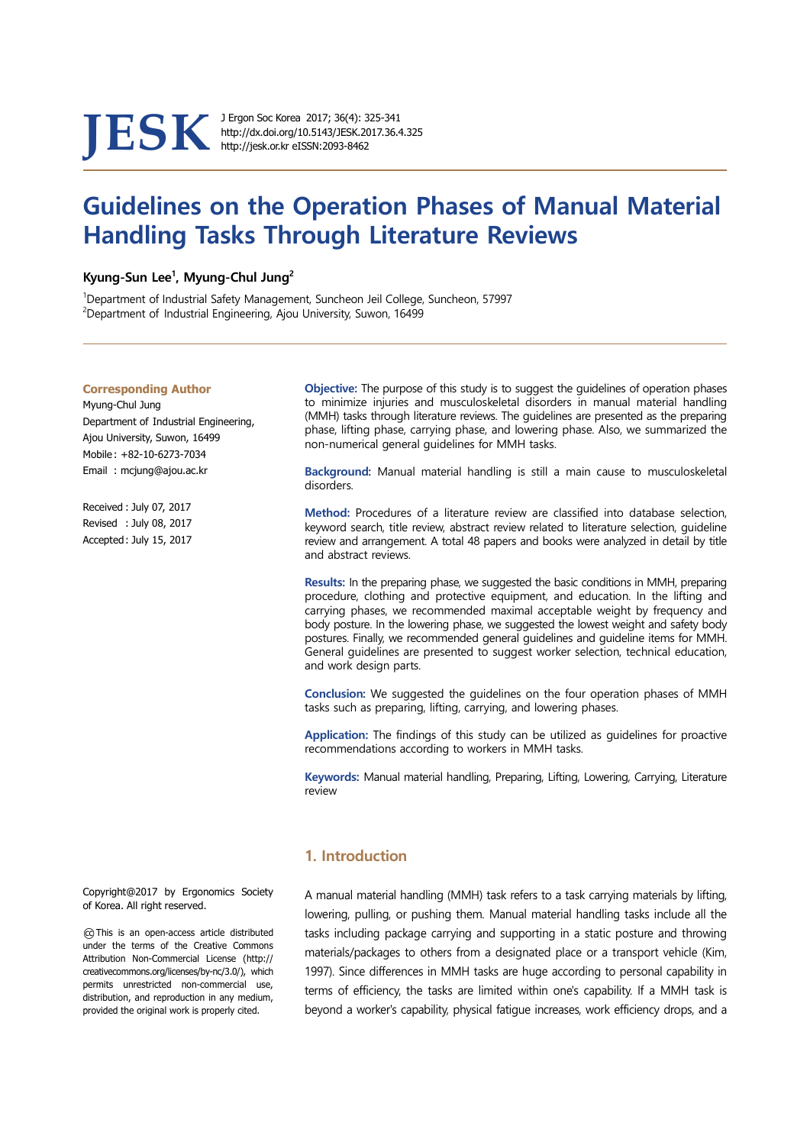JESK <sup>J Ergon Soc Korea 2017; 36(4): 325-341</sup><br>http://jesk.or.kr eISSN:2093-8462

http://dx.doi.org/10.5143/JESK.2017.36.4.325

# Guidelines on the Operation Phases of Manual Material Handling Tasks Through Literature Reviews

#### Kyung-Sun Lee<sup>1</sup>, Myung-Chul Jung<sup>2</sup>

1Department of Industrial Safety Management, Suncheon Jeil College, Suncheon, 57997  $2$ Department of Industrial Engineering, Ajou University, Suwon, 16499

#### Corresponding Author

Myung-Chul Jung Department of Industrial Engineering, Ajou University, Suwon, 16499 Mobile : +82-10-6273-7034 Email : mcjung@ajou.ac.kr

Received : July 07, 2017 Revised : July 08, 2017 Accepted : July 15, 2017

Objective: The purpose of this study is to suggest the guidelines of operation phases to minimize injuries and musculoskeletal disorders in manual material handling (MMH) tasks through literature reviews. The guidelines are presented as the preparing phase, lifting phase, carrying phase, and lowering phase. Also, we summarized the non-numerical general guidelines for MMH tasks.

Background: Manual material handling is still a main cause to musculoskeletal disorders.

Method: Procedures of a literature review are classified into database selection, keyword search, title review, abstract review related to literature selection, guideline review and arrangement. A total 48 papers and books were analyzed in detail by title and abstract reviews.

Results: In the preparing phase, we suggested the basic conditions in MMH, preparing procedure, clothing and protective equipment, and education. In the lifting and carrying phases, we recommended maximal acceptable weight by frequency and body posture. In the lowering phase, we suggested the lowest weight and safety body postures. Finally, we recommended general guidelines and guideline items for MMH. General guidelines are presented to suggest worker selection, technical education, and work design parts.

Conclusion: We suggested the guidelines on the four operation phases of MMH tasks such as preparing, lifting, carrying, and lowering phases.

Application: The findings of this study can be utilized as quidelines for proactive recommendations according to workers in MMH tasks.

Keywords: Manual material handling, Preparing, Lifting, Lowering, Carrying, Literature review

# 1. Introduction

creativecommons.org/licenses/by-nc/3.0/), which 1997). Since differences in MMH tasks are huge according to personal capability in A manual material handling (MMH) task refers to a task carrying materials by lifting, lowering, pulling, or pushing them. Manual material handling tasks include all the tasks including package carrying and supporting in a static posture and throwing materials/packages to others from a designated place or a transport vehicle (Kim, terms of efficiency, the tasks are limited within one's capability. If a MMH task is beyond a worker's capability, physical fatigue increases, work efficiency drops, and a

Copyright@2017 by Ergonomics Society of Korea. All right reserved.

○cc This is an open-access article distributed under the terms of the Creative Commons Attribution Non-Commercial License (http:// permits unrestricted non-commercial use, distribution, and reproduction in any medium, provided the original work is properly cited.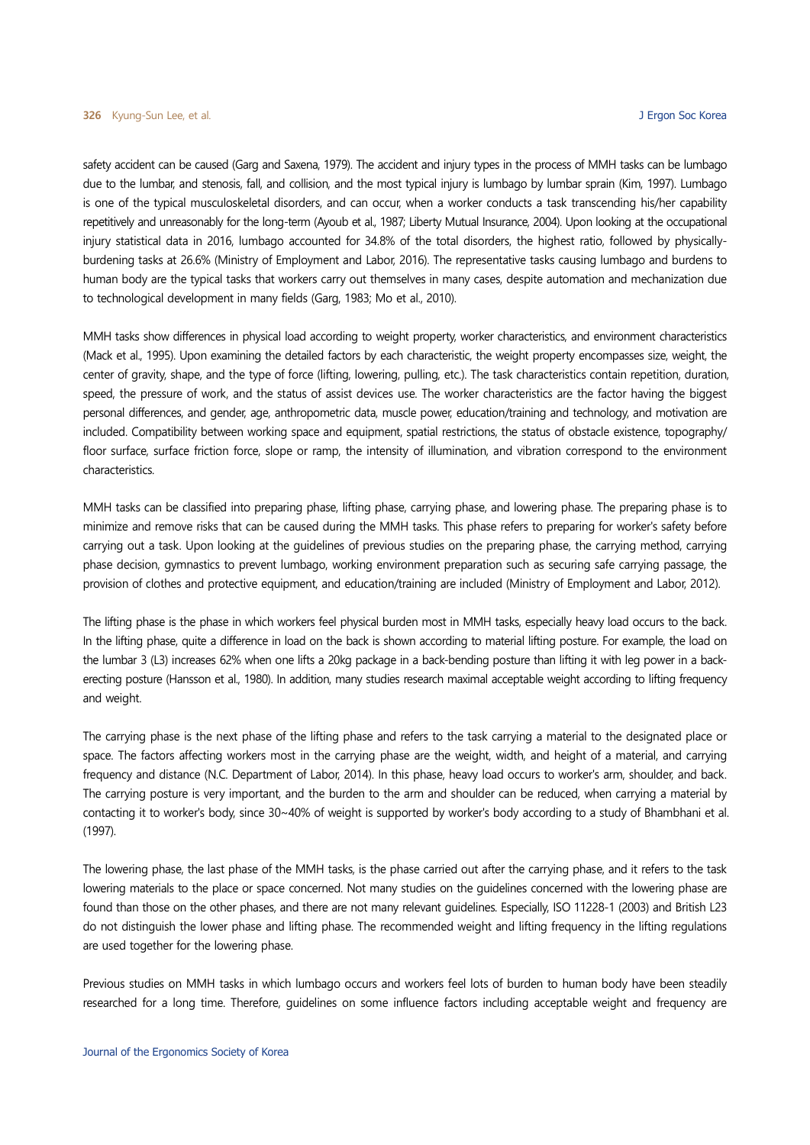safety accident can be caused (Garg and Saxena, 1979). The accident and injury types in the process of MMH tasks can be lumbago due to the lumbar, and stenosis, fall, and collision, and the most typical injury is lumbago by lumbar sprain (Kim, 1997). Lumbago is one of the typical musculoskeletal disorders, and can occur, when a worker conducts a task transcending his/her capability repetitively and unreasonably for the long-term (Ayoub et al., 1987; Liberty Mutual Insurance, 2004). Upon looking at the occupational injury statistical data in 2016, lumbago accounted for 34.8% of the total disorders, the highest ratio, followed by physicallyburdening tasks at 26.6% (Ministry of Employment and Labor, 2016). The representative tasks causing lumbago and burdens to human body are the typical tasks that workers carry out themselves in many cases, despite automation and mechanization due to technological development in many fields (Garg, 1983; Mo et al., 2010).

MMH tasks show differences in physical load according to weight property, worker characteristics, and environment characteristics (Mack et al., 1995). Upon examining the detailed factors by each characteristic, the weight property encompasses size, weight, the center of gravity, shape, and the type of force (lifting, lowering, pulling, etc.). The task characteristics contain repetition, duration, speed, the pressure of work, and the status of assist devices use. The worker characteristics are the factor having the biggest personal differences, and gender, age, anthropometric data, muscle power, education/training and technology, and motivation are included. Compatibility between working space and equipment, spatial restrictions, the status of obstacle existence, topography/ floor surface, surface friction force, slope or ramp, the intensity of illumination, and vibration correspond to the environment characteristics.

MMH tasks can be classified into preparing phase, lifting phase, carrying phase, and lowering phase. The preparing phase is to minimize and remove risks that can be caused during the MMH tasks. This phase refers to preparing for worker's safety before carrying out a task. Upon looking at the guidelines of previous studies on the preparing phase, the carrying method, carrying phase decision, gymnastics to prevent lumbago, working environment preparation such as securing safe carrying passage, the provision of clothes and protective equipment, and education/training are included (Ministry of Employment and Labor, 2012).

The lifting phase is the phase in which workers feel physical burden most in MMH tasks, especially heavy load occurs to the back. In the lifting phase, quite a difference in load on the back is shown according to material lifting posture. For example, the load on the lumbar 3 (L3) increases 62% when one lifts a 20kg package in a back-bending posture than lifting it with leg power in a backerecting posture (Hansson et al., 1980). In addition, many studies research maximal acceptable weight according to lifting frequency and weight.

The carrying phase is the next phase of the lifting phase and refers to the task carrying a material to the designated place or space. The factors affecting workers most in the carrying phase are the weight, width, and height of a material, and carrying frequency and distance (N.C. Department of Labor, 2014). In this phase, heavy load occurs to worker's arm, shoulder, and back. The carrying posture is very important, and the burden to the arm and shoulder can be reduced, when carrying a material by contacting it to worker's body, since 30~40% of weight is supported by worker's body according to a study of Bhambhani et al. (1997).

The lowering phase, the last phase of the MMH tasks, is the phase carried out after the carrying phase, and it refers to the task lowering materials to the place or space concerned. Not many studies on the guidelines concerned with the lowering phase are found than those on the other phases, and there are not many relevant guidelines. Especially, ISO 11228-1 (2003) and British L23 do not distinguish the lower phase and lifting phase. The recommended weight and lifting frequency in the lifting regulations are used together for the lowering phase.

Previous studies on MMH tasks in which lumbago occurs and workers feel lots of burden to human body have been steadily researched for a long time. Therefore, guidelines on some influence factors including acceptable weight and frequency are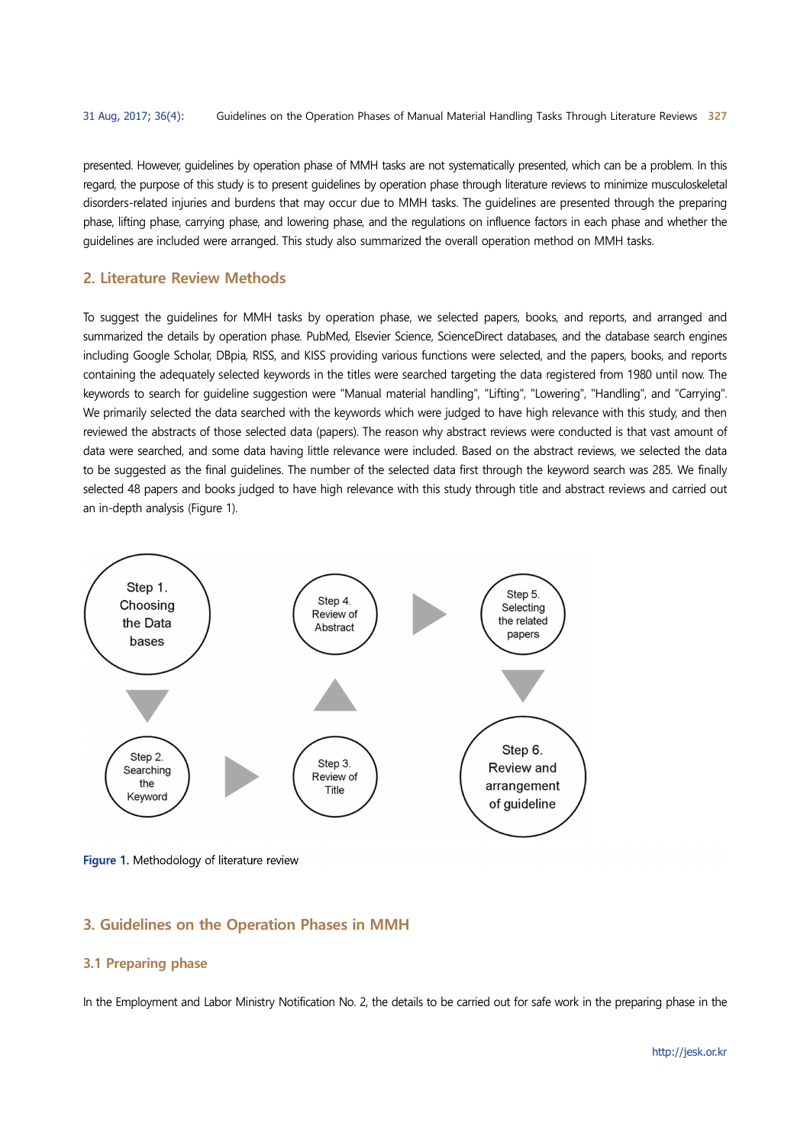presented. However, guidelines by operation phase of MMH tasks are not systematically presented, which can be a problem. In this regard, the purpose of this study is to present guidelines by operation phase through literature reviews to minimize musculoskeletal disorders-related injuries and burdens that may occur due to MMH tasks. The guidelines are presented through the preparing phase, lifting phase, carrying phase, and lowering phase, and the regulations on influence factors in each phase and whether the guidelines are included were arranged. This study also summarized the overall operation method on MMH tasks.

# 2. Literature Review Methods

To suggest the guidelines for MMH tasks by operation phase, we selected papers, books, and reports, and arranged and summarized the details by operation phase. PubMed, Elsevier Science, ScienceDirect databases, and the database search engines including Google Scholar, DBpia, RISS, and KISS providing various functions were selected, and the papers, books, and reports containing the adequately selected keywords in the titles were searched targeting the data registered from 1980 until now. The keywords to search for guideline suggestion were "Manual material handling", "Lifting", "Lowering", "Handling", and "Carrying". We primarily selected the data searched with the keywords which were judged to have high relevance with this study, and then reviewed the abstracts of those selected data (papers). The reason why abstract reviews were conducted is that vast amount of data were searched, and some data having little relevance were included. Based on the abstract reviews, we selected the data to be suggested as the final guidelines. The number of the selected data first through the keyword search was 285. We finally selected 48 papers and books judged to have high relevance with this study through title and abstract reviews and carried out an in-depth analysis (Figure 1).



Figure 1. Methodology of literature review

# 3. Guidelines on the Operation Phases in MMH

#### 3.1 Preparing phase

In the Employment and Labor Ministry Notification No. 2, the details to be carried out for safe work in the preparing phase in the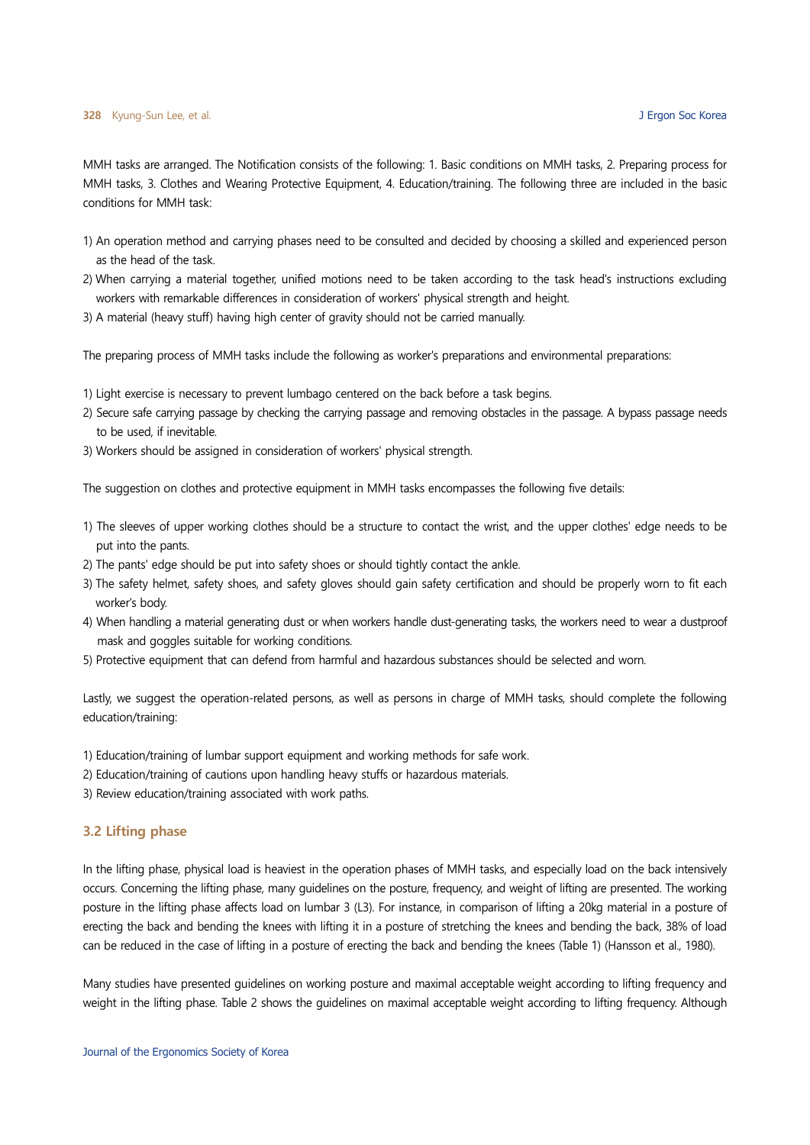MMH tasks are arranged. The Notification consists of the following: 1. Basic conditions on MMH tasks, 2. Preparing process for MMH tasks, 3. Clothes and Wearing Protective Equipment, 4. Education/training. The following three are included in the basic conditions for MMH task:

- 1) An operation method and carrying phases need to be consulted and decided by choosing a skilled and experienced person as the head of the task.
- 2) When carrying a material together, unified motions need to be taken according to the task head's instructions excluding workers with remarkable differences in consideration of workers' physical strength and height.
- 3) A material (heavy stuff) having high center of gravity should not be carried manually.

The preparing process of MMH tasks include the following as worker's preparations and environmental preparations:

- 1) Light exercise is necessary to prevent lumbago centered on the back before a task begins.
- 2) Secure safe carrying passage by checking the carrying passage and removing obstacles in the passage. A bypass passage needs to be used, if inevitable.
- 3) Workers should be assigned in consideration of workers' physical strength.

The suggestion on clothes and protective equipment in MMH tasks encompasses the following five details:

- 1) The sleeves of upper working clothes should be a structure to contact the wrist, and the upper clothes' edge needs to be put into the pants.
- 2) The pants' edge should be put into safety shoes or should tightly contact the ankle.
- 3) The safety helmet, safety shoes, and safety gloves should gain safety certification and should be properly worn to fit each worker's body.
- 4) When handling a material generating dust or when workers handle dust-generating tasks, the workers need to wear a dustproof mask and goggles suitable for working conditions.
- 5) Protective equipment that can defend from harmful and hazardous substances should be selected and worn.

Lastly, we suggest the operation-related persons, as well as persons in charge of MMH tasks, should complete the following education/training:

- 1) Education/training of lumbar support equipment and working methods for safe work.
- 2) Education/training of cautions upon handling heavy stuffs or hazardous materials.
- 3) Review education/training associated with work paths.

#### 3.2 Lifting phase

In the lifting phase, physical load is heaviest in the operation phases of MMH tasks, and especially load on the back intensively occurs. Concerning the lifting phase, many guidelines on the posture, frequency, and weight of lifting are presented. The working posture in the lifting phase affects load on lumbar 3 (L3). For instance, in comparison of lifting a 20kg material in a posture of erecting the back and bending the knees with lifting it in a posture of stretching the knees and bending the back, 38% of load can be reduced in the case of lifting in a posture of erecting the back and bending the knees (Table 1) (Hansson et al., 1980).

Many studies have presented guidelines on working posture and maximal acceptable weight according to lifting frequency and weight in the lifting phase. Table 2 shows the guidelines on maximal acceptable weight according to lifting frequency. Although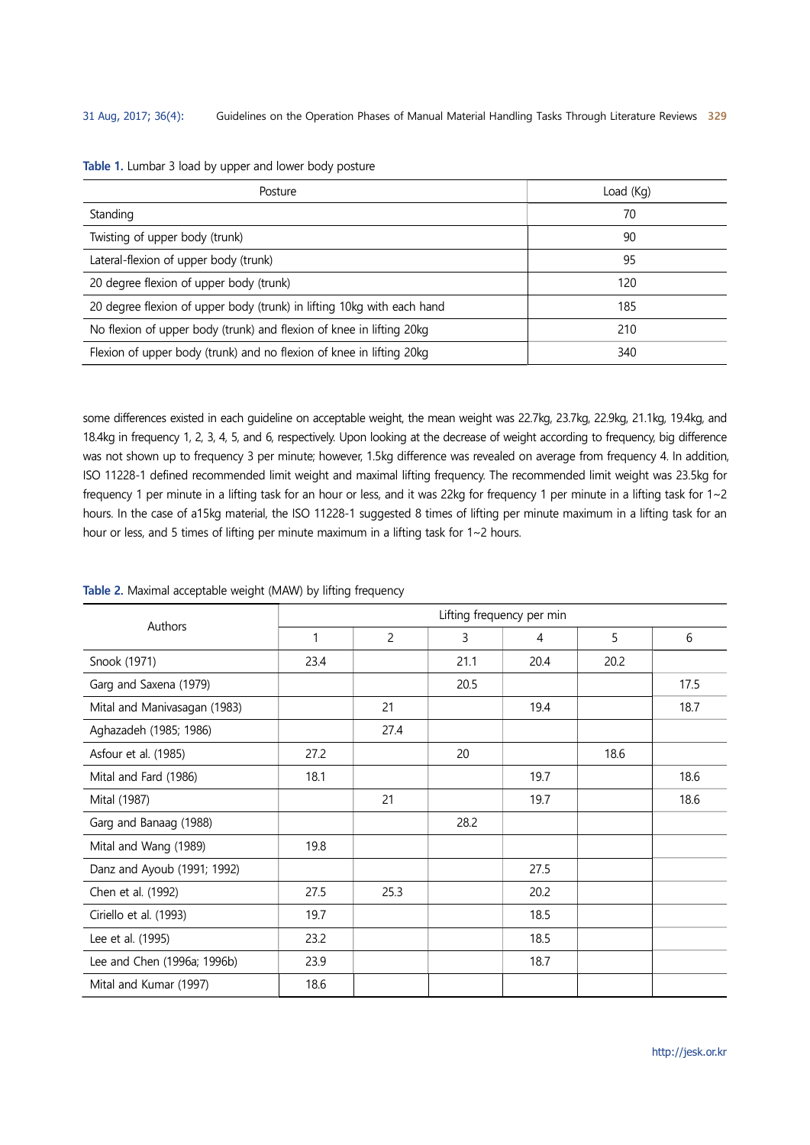| Posture                                                                | Load (Kg) |
|------------------------------------------------------------------------|-----------|
| Standing                                                               | 70        |
| Twisting of upper body (trunk)                                         | 90        |
| Lateral-flexion of upper body (trunk)                                  | 95        |
| 20 degree flexion of upper body (trunk)                                | 120       |
| 20 degree flexion of upper body (trunk) in lifting 10kg with each hand | 185       |
| No flexion of upper body (trunk) and flexion of knee in lifting 20kg   | 210       |
| Flexion of upper body (trunk) and no flexion of knee in lifting 20kg   | 340       |

#### Table 1. Lumbar 3 load by upper and lower body posture

some differences existed in each guideline on acceptable weight, the mean weight was 22.7kg, 23.7kg, 22.9kg, 21.1kg, 19.4kg, and 18.4kg in frequency 1, 2, 3, 4, 5, and 6, respectively. Upon looking at the decrease of weight according to frequency, big difference was not shown up to frequency 3 per minute; however, 1.5kg difference was revealed on average from frequency 4. In addition, ISO 11228-1 defined recommended limit weight and maximal lifting frequency. The recommended limit weight was 23.5kg for frequency 1 per minute in a lifting task for an hour or less, and it was 22kg for frequency 1 per minute in a lifting task for 1~2 hours. In the case of a15kg material, the ISO 11228-1 suggested 8 times of lifting per minute maximum in a lifting task for an hour or less, and 5 times of lifting per minute maximum in a lifting task for 1~2 hours.

### Table 2. Maximal acceptable weight (MAW) by lifting frequency

| Authors                      |      |                |      | Lifting frequency per min |      |      |
|------------------------------|------|----------------|------|---------------------------|------|------|
|                              | 1    | $\overline{2}$ | 3    | 4                         | 5    | 6    |
| Snook (1971)                 | 23.4 |                | 21.1 | 20.4                      | 20.2 |      |
| Garg and Saxena (1979)       |      |                | 20.5 |                           |      | 17.5 |
| Mital and Manivasagan (1983) |      | 21             |      | 19.4                      |      | 18.7 |
| Aghazadeh (1985; 1986)       |      | 27.4           |      |                           |      |      |
| Asfour et al. (1985)         | 27.2 |                | 20   |                           | 18.6 |      |
| Mital and Fard (1986)        | 18.1 |                |      | 19.7                      |      | 18.6 |
| Mital (1987)                 |      | 21             |      | 19.7                      |      | 18.6 |
| Garg and Banaag (1988)       |      |                | 28.2 |                           |      |      |
| Mital and Wang (1989)        | 19.8 |                |      |                           |      |      |
| Danz and Ayoub (1991; 1992)  |      |                |      | 27.5                      |      |      |
| Chen et al. (1992)           | 27.5 | 25.3           |      | 20.2                      |      |      |
| Ciriello et al. (1993)       | 19.7 |                |      | 18.5                      |      |      |
| Lee et al. (1995)            | 23.2 |                |      | 18.5                      |      |      |
| Lee and Chen (1996a; 1996b)  | 23.9 |                |      | 18.7                      |      |      |
| Mital and Kumar (1997)       | 18.6 |                |      |                           |      |      |

http://jesk.or.kr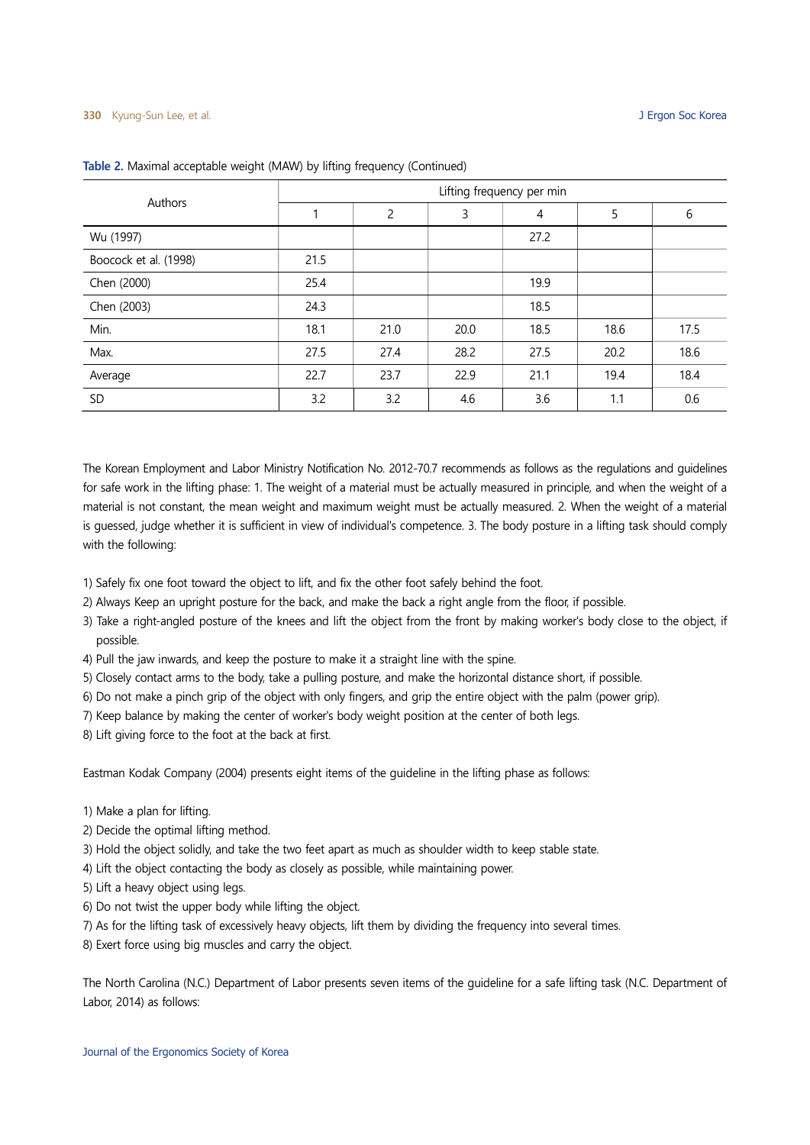| Authors               |      |                |      | Lifting frequency per min |      |      |
|-----------------------|------|----------------|------|---------------------------|------|------|
|                       |      | $\overline{c}$ | 3    | 4                         | 5    | 6    |
| Wu (1997)             |      |                |      | 27.2                      |      |      |
| Boocock et al. (1998) | 21.5 |                |      |                           |      |      |
| Chen (2000)           | 25.4 |                |      | 19.9                      |      |      |
| Chen (2003)           | 24.3 |                |      | 18.5                      |      |      |
| Min.                  | 18.1 | 21.0           | 20.0 | 18.5                      | 18.6 | 17.5 |
| Max.                  | 27.5 | 27.4           | 28.2 | 27.5                      | 20.2 | 18.6 |
| Average               | 22.7 | 23.7           | 22.9 | 21.1                      | 19.4 | 18.4 |
| SD                    | 3.2  | 3.2            | 4.6  | 3.6                       | 1.1  | 0.6  |

#### Table 2. Maximal acceptable weight (MAW) by lifting frequency (Continued)

The Korean Employment and Labor Ministry Notification No. 2012-70.7 recommends as follows as the regulations and guidelines for safe work in the lifting phase: 1. The weight of a material must be actually measured in principle, and when the weight of a material is not constant, the mean weight and maximum weight must be actually measured. 2. When the weight of a material is guessed, judge whether it is sufficient in view of individual's competence. 3. The body posture in a lifting task should comply with the following:

- 1) Safely fix one foot toward the object to lift, and fix the other foot safely behind the foot.
- 2) Always Keep an upright posture for the back, and make the back a right angle from the floor, if possible.
- 3) Take a right-angled posture of the knees and lift the object from the front by making worker's body close to the object, if possible.
- 4) Pull the jaw inwards, and keep the posture to make it a straight line with the spine.
- 5) Closely contact arms to the body, take a pulling posture, and make the horizontal distance short, if possible.
- 6) Do not make a pinch grip of the object with only fingers, and grip the entire object with the palm (power grip).
- 7) Keep balance by making the center of worker's body weight position at the center of both legs.
- 8) Lift giving force to the foot at the back at first.

Eastman Kodak Company (2004) presents eight items of the guideline in the lifting phase as follows:

- 1) Make a plan for lifting.
- 2) Decide the optimal lifting method.
- 3) Hold the object solidly, and take the two feet apart as much as shoulder width to keep stable state.
- 4) Lift the object contacting the body as closely as possible, while maintaining power.
- 5) Lift a heavy object using legs.
- 6) Do not twist the upper body while lifting the object.
- 7) As for the lifting task of excessively heavy objects, lift them by dividing the frequency into several times.
- 8) Exert force using big muscles and carry the object.

The North Carolina (N.C.) Department of Labor presents seven items of the guideline for a safe lifting task (N.C. Department of Labor, 2014) as follows: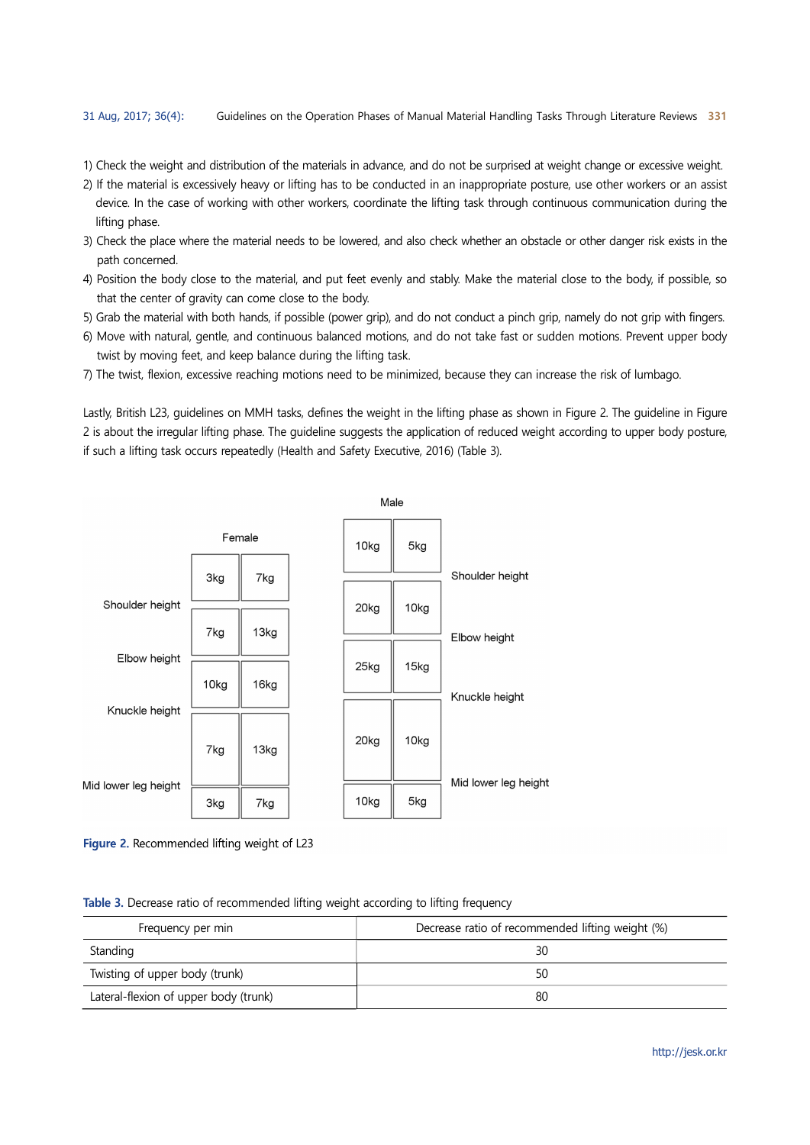- 1) Check the weight and distribution of the materials in advance, and do not be surprised at weight change or excessive weight.
- 2) If the material is excessively heavy or lifting has to be conducted in an inappropriate posture, use other workers or an assist device. In the case of working with other workers, coordinate the lifting task through continuous communication during the lifting phase.
- 3) Check the place where the material needs to be lowered, and also check whether an obstacle or other danger risk exists in the path concerned.
- 4) Position the body close to the material, and put feet evenly and stably. Make the material close to the body, if possible, so that the center of gravity can come close to the body.
- 5) Grab the material with both hands, if possible (power grip), and do not conduct a pinch grip, namely do not grip with fingers.
- 6) Move with natural, gentle, and continuous balanced motions, and do not take fast or sudden motions. Prevent upper body twist by moving feet, and keep balance during the lifting task.
- 7) The twist, flexion, excessive reaching motions need to be minimized, because they can increase the risk of lumbago.

Lastly, British L23, guidelines on MMH tasks, defines the weight in the lifting phase as shown in Figure 2. The guideline in Figure 2 is about the irregular lifting phase. The guideline suggests the application of reduced weight according to upper body posture, if such a lifting task occurs repeatedly (Health and Safety Executive, 2016) (Table 3).



Figure 2. Recommended lifting weight of L23

|  | Table 3. Decrease ratio of recommended lifting weight according to lifting frequency |  |  |
|--|--------------------------------------------------------------------------------------|--|--|
|  |                                                                                      |  |  |

| Frequency per min                     | Decrease ratio of recommended lifting weight (%) |
|---------------------------------------|--------------------------------------------------|
| Standing                              | 30                                               |
| Twisting of upper body (trunk)        | 50                                               |
| Lateral-flexion of upper body (trunk) | 80                                               |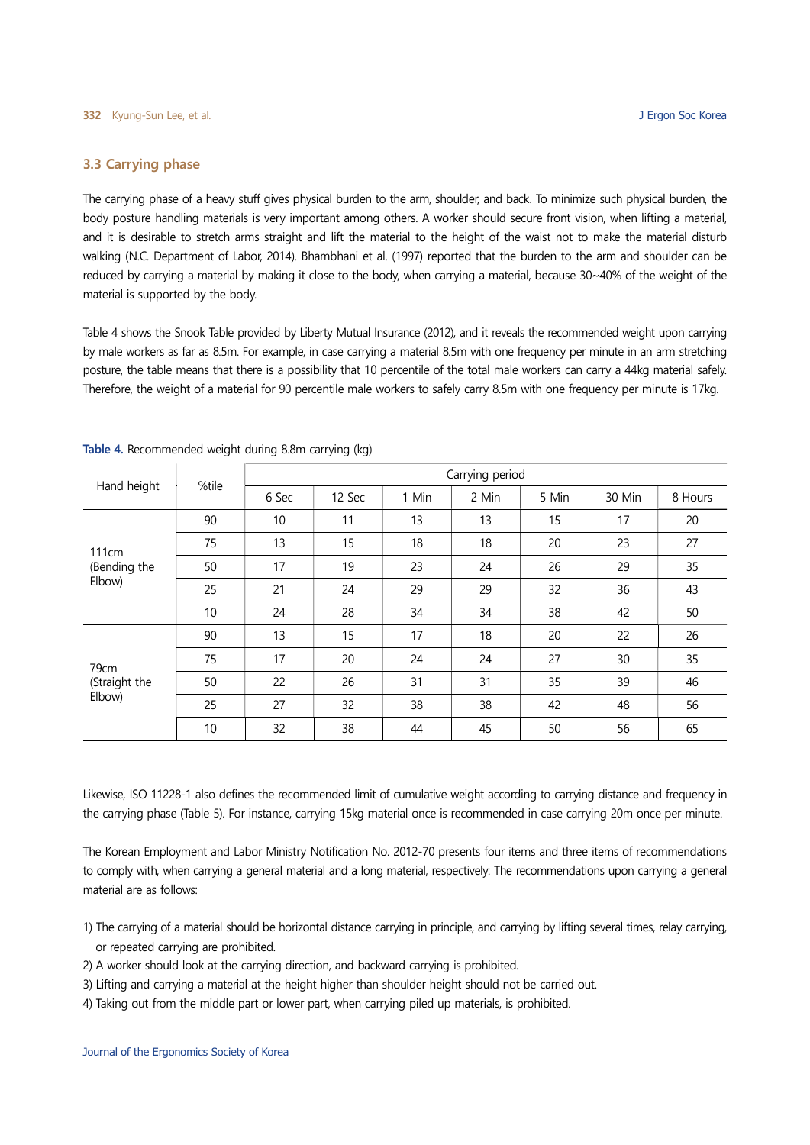# 3.3 Carrying phase

The carrying phase of a heavy stuff gives physical burden to the arm, shoulder, and back. To minimize such physical burden, the body posture handling materials is very important among others. A worker should secure front vision, when lifting a material, and it is desirable to stretch arms straight and lift the material to the height of the waist not to make the material disturb walking (N.C. Department of Labor, 2014). Bhambhani et al. (1997) reported that the burden to the arm and shoulder can be reduced by carrying a material by making it close to the body, when carrying a material, because 30~40% of the weight of the material is supported by the body.

Table 4 shows the Snook Table provided by Liberty Mutual Insurance (2012), and it reveals the recommended weight upon carrying by male workers as far as 8.5m. For example, in case carrying a material 8.5m with one frequency per minute in an arm stretching posture, the table means that there is a possibility that 10 percentile of the total male workers can carry a 44kg material safely. Therefore, the weight of a material for 90 percentile male workers to safely carry 8.5m with one frequency per minute is 17kg.

|               | %tile |       |        |       | Carrying period |       |        |         |
|---------------|-------|-------|--------|-------|-----------------|-------|--------|---------|
| Hand height   |       | 6 Sec | 12 Sec | 1 Min | 2 Min           | 5 Min | 30 Min | 8 Hours |
|               | 90    | 10    | 11     | 13    | 13              | 15    | 17     | 20      |
| <b>111cm</b>  | 75    | 13    | 15     | 18    | 18              | 20    | 23     | 27      |
| (Bending the  | 50    | 17    | 19     | 23    | 24              | 26    | 29     | 35      |
| Elbow)        | 25    | 21    | 24     | 29    | 29              | 32    | 36     | 43      |
|               | 10    | 24    | 28     | 34    | 34              | 38    | 42     | 50      |
|               | 90    | 13    | 15     | 17    | 18              | 20    | 22     | 26      |
| 79cm          | 75    | 17    | 20     | 24    | 24              | 27    | 30     | 35      |
| (Straight the | 50    | 22    | 26     | 31    | 31              | 35    | 39     | 46      |
| Elbow)        | 25    | 27    | 32     | 38    | 38              | 42    | 48     | 56      |
|               | 10    | 32    | 38     | 44    | 45              | 50    | 56     | 65      |

Table 4. Recommended weight during 8.8m carrying (kg)

Likewise, ISO 11228-1 also defines the recommended limit of cumulative weight according to carrying distance and frequency in the carrying phase (Table 5). For instance, carrying 15kg material once is recommended in case carrying 20m once per minute.

The Korean Employment and Labor Ministry Notification No. 2012-70 presents four items and three items of recommendations to comply with, when carrying a general material and a long material, respectively: The recommendations upon carrying a general material are as follows:

- 1) The carrying of a material should be horizontal distance carrying in principle, and carrying by lifting several times, relay carrying, or repeated carrying are prohibited.
- 2) A worker should look at the carrying direction, and backward carrying is prohibited.
- 3) Lifting and carrying a material at the height higher than shoulder height should not be carried out.
- 4) Taking out from the middle part or lower part, when carrying piled up materials, is prohibited.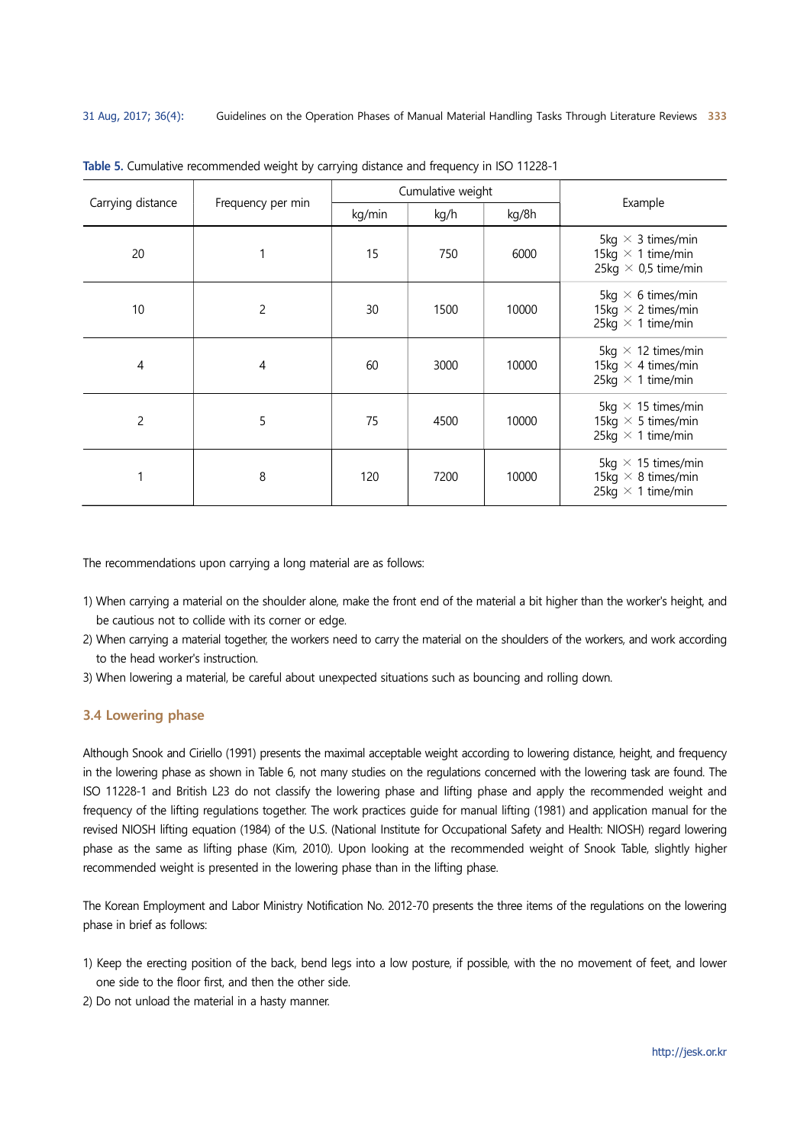| Carrying distance | Frequency per min |        | Cumulative weight |       | Example                                                                            |
|-------------------|-------------------|--------|-------------------|-------|------------------------------------------------------------------------------------|
|                   |                   | kg/min | kg/h              | kg/8h |                                                                                    |
| 20                |                   | 15     | 750               | 6000  | 5kg $\times$ 3 times/min<br>15kg $\times$ 1 time/min<br>25kg $\times$ 0,5 time/min |
| 10                | $\overline{c}$    | 30     | 1500              | 10000 | 5kg $\times$ 6 times/min<br>15kg $\times$ 2 times/min<br>25kg $\times$ 1 time/min  |
| 4                 | 4                 | 60     | 3000              | 10000 | 5kg $\times$ 12 times/min<br>15kg $\times$ 4 times/min<br>25kg $\times$ 1 time/min |
| $\overline{c}$    | 5                 | 75     | 4500              | 10000 | 5kg $\times$ 15 times/min<br>15kg $\times$ 5 times/min<br>25kg $\times$ 1 time/min |
|                   | 8                 | 120    | 7200              | 10000 | 5kg $\times$ 15 times/min<br>15kg $\times$ 8 times/min<br>25kg $\times$ 1 time/min |

Table 5. Cumulative recommended weight by carrying distance and frequency in ISO 11228-1

The recommendations upon carrying a long material are as follows:

- 1) When carrying a material on the shoulder alone, make the front end of the material a bit higher than the worker's height, and be cautious not to collide with its corner or edge.
- 2) When carrying a material together, the workers need to carry the material on the shoulders of the workers, and work according to the head worker's instruction.
- 3) When lowering a material, be careful about unexpected situations such as bouncing and rolling down.

#### 3.4 Lowering phase

Although Snook and Ciriello (1991) presents the maximal acceptable weight according to lowering distance, height, and frequency in the lowering phase as shown in Table 6, not many studies on the regulations concerned with the lowering task are found. The ISO 11228-1 and British L23 do not classify the lowering phase and lifting phase and apply the recommended weight and frequency of the lifting regulations together. The work practices guide for manual lifting (1981) and application manual for the revised NIOSH lifting equation (1984) of the U.S. (National Institute for Occupational Safety and Health: NIOSH) regard lowering phase as the same as lifting phase (Kim, 2010). Upon looking at the recommended weight of Snook Table, slightly higher recommended weight is presented in the lowering phase than in the lifting phase.

The Korean Employment and Labor Ministry Notification No. 2012-70 presents the three items of the regulations on the lowering phase in brief as follows:

- 1) Keep the erecting position of the back, bend legs into a low posture, if possible, with the no movement of feet, and lower one side to the floor first, and then the other side.
- 2) Do not unload the material in a hasty manner.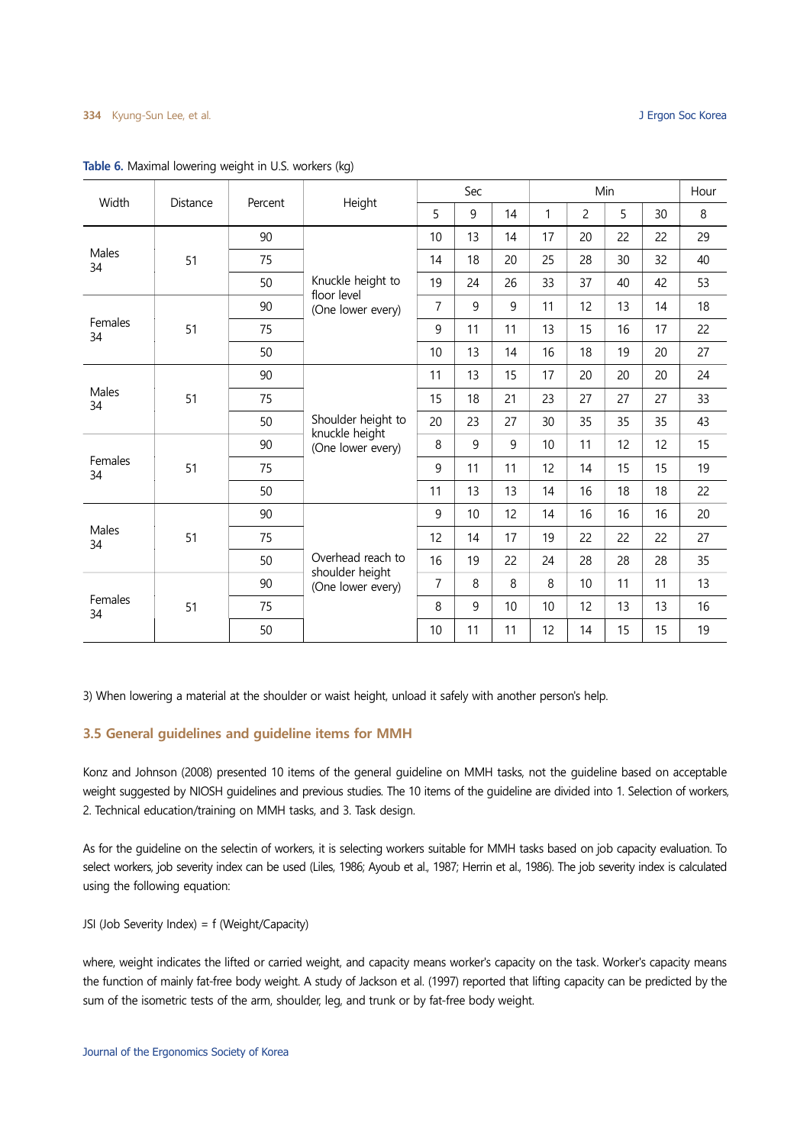| Width         | Distance | Percent | Height                               |                | Sec            |    |                 |                | Min |    | Hour |
|---------------|----------|---------|--------------------------------------|----------------|----------------|----|-----------------|----------------|-----|----|------|
|               |          |         |                                      | 5              | 9              | 14 | $\mathbf{1}$    | $\overline{c}$ | 5   | 30 | 8    |
|               |          | 90      |                                      | 10             | 13             | 14 | 17              | 20             | 22  | 22 | 29   |
| Males<br>34   | 51       | 75      |                                      | 14             | 18             | 20 | 25              | 28             | 30  | 32 | 40   |
|               |          | 50      | Knuckle height to                    | 19             | 24             | 26 | 33              | 37             | 40  | 42 | 53   |
|               |          | 90      | floor level<br>(One lower every)     | $\overline{7}$ | $\overline{9}$ | 9  | 11              | 12             | 13  | 14 | 18   |
| Females<br>34 | 51       | 75      |                                      | 9              | 11             | 11 | 13              | 15             | 16  | 17 | 22   |
|               |          | 50      |                                      | 10             | 13             | 14 | 16              | 18             | 19  | 20 | 27   |
|               |          | 90      |                                      | 11             | 13             | 15 | 17              | 20             | 20  | 20 | 24   |
| Males<br>34   | 51       | 75      |                                      | 15             | 18             | 21 | 23              | 27             | 27  | 27 | 33   |
|               |          | 50      | Shoulder height to                   | 20             | 23             | 27 | 30              | 35             | 35  | 35 | 43   |
|               |          | 90      | knuckle height<br>(One lower every)  | 8              | 9              | 9  | 10 <sup>°</sup> | 11             | 12  | 12 | 15   |
| Females<br>34 | 51       | 75      |                                      | 9              | 11             | 11 | 12              | 14             | 15  | 15 | 19   |
|               |          | 50      |                                      | 11             | 13             | 13 | 14              | 16             | 18  | 18 | 22   |
|               |          | 90      |                                      | 9              | 10             | 12 | 14              | 16             | 16  | 16 | 20   |
| Males<br>34   | 51       | 75      |                                      | 12             | 14             | 17 | 19              | 22             | 22  | 22 | 27   |
|               |          | 50      | Overhead reach to                    | 16             | 19             | 22 | 24              | 28             | 28  | 28 | 35   |
|               |          | 90      | shoulder height<br>(One lower every) | $\overline{7}$ | 8              | 8  | 8               | 10             | 11  | 11 | 13   |
| Females<br>34 | 51       | 75      |                                      | 8              | 9              | 10 | 10              | 12             | 13  | 13 | 16   |
|               |          | 50      |                                      | 10             | 11             | 11 | 12              | 14             | 15  | 15 | 19   |

#### Table 6. Maximal lowering weight in U.S. workers (kg)

3) When lowering a material at the shoulder or waist height, unload it safely with another person's help.

#### 3.5 General guidelines and guideline items for MMH

Konz and Johnson (2008) presented 10 items of the general guideline on MMH tasks, not the guideline based on acceptable weight suggested by NIOSH guidelines and previous studies. The 10 items of the guideline are divided into 1. Selection of workers, 2. Technical education/training on MMH tasks, and 3. Task design.

As for the guideline on the selectin of workers, it is selecting workers suitable for MMH tasks based on job capacity evaluation. To select workers, job severity index can be used (Liles, 1986; Ayoub et al., 1987; Herrin et al., 1986). The job severity index is calculated using the following equation:

JSI (Job Severity Index) = f (Weight/Capacity)

where, weight indicates the lifted or carried weight, and capacity means worker's capacity on the task. Worker's capacity means the function of mainly fat-free body weight. A study of Jackson et al. (1997) reported that lifting capacity can be predicted by the sum of the isometric tests of the arm, shoulder, leg, and trunk or by fat-free body weight.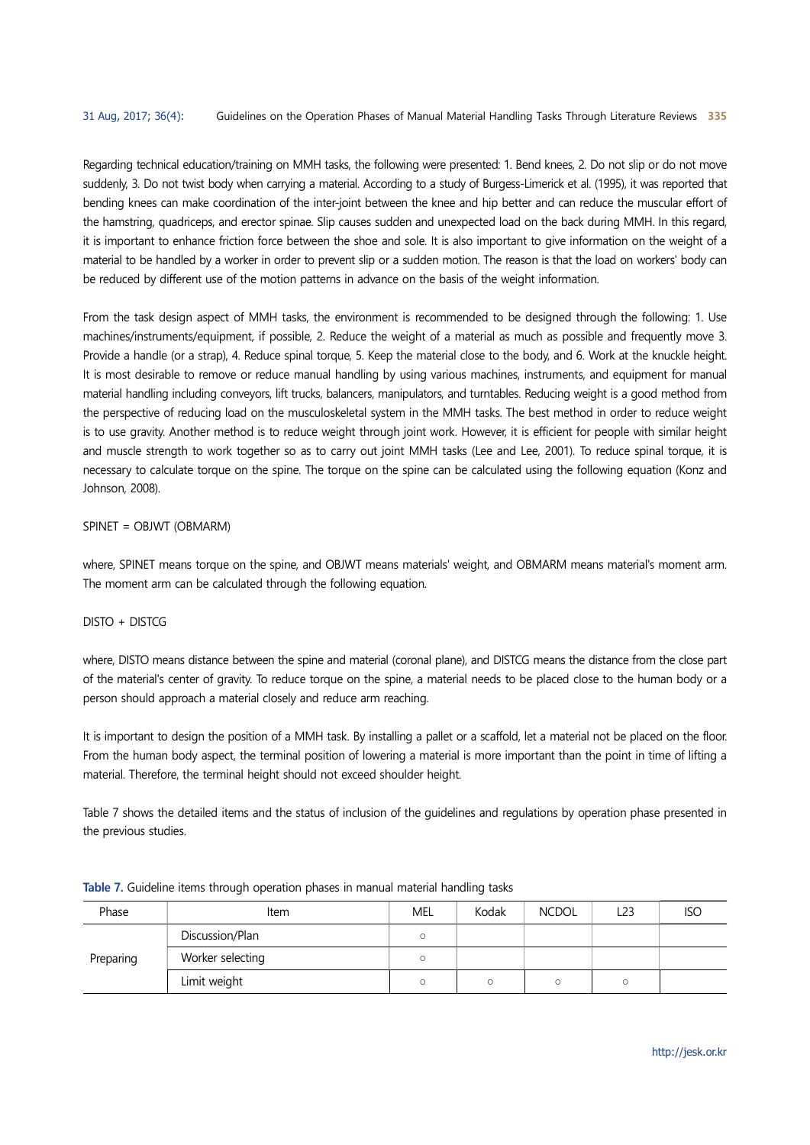Regarding technical education/training on MMH tasks, the following were presented: 1. Bend knees, 2. Do not slip or do not move suddenly, 3. Do not twist body when carrying a material. According to a study of Burgess-Limerick et al. (1995), it was reported that bending knees can make coordination of the inter-joint between the knee and hip better and can reduce the muscular effort of the hamstring, quadriceps, and erector spinae. Slip causes sudden and unexpected load on the back during MMH. In this regard, it is important to enhance friction force between the shoe and sole. It is also important to give information on the weight of a material to be handled by a worker in order to prevent slip or a sudden motion. The reason is that the load on workers' body can be reduced by different use of the motion patterns in advance on the basis of the weight information.

From the task design aspect of MMH tasks, the environment is recommended to be designed through the following: 1. Use machines/instruments/equipment, if possible, 2. Reduce the weight of a material as much as possible and frequently move 3. Provide a handle (or a strap), 4. Reduce spinal torque, 5. Keep the material close to the body, and 6. Work at the knuckle height. It is most desirable to remove or reduce manual handling by using various machines, instruments, and equipment for manual material handling including conveyors, lift trucks, balancers, manipulators, and turntables. Reducing weight is a good method from the perspective of reducing load on the musculoskeletal system in the MMH tasks. The best method in order to reduce weight is to use gravity. Another method is to reduce weight through joint work. However, it is efficient for people with similar height and muscle strength to work together so as to carry out joint MMH tasks (Lee and Lee, 2001). To reduce spinal torque, it is necessary to calculate torque on the spine. The torque on the spine can be calculated using the following equation (Konz and Johnson, 2008).

# SPINET = OBJWT (OBMARM)

where, SPINET means torque on the spine, and OBJWT means materials' weight, and OBMARM means material's moment arm. The moment arm can be calculated through the following equation.

# $DISTO + DISTCG$

where, DISTO means distance between the spine and material (coronal plane), and DISTCG means the distance from the close part of the material's center of gravity. To reduce torque on the spine, a material needs to be placed close to the human body or a person should approach a material closely and reduce arm reaching.

It is important to design the position of a MMH task. By installing a pallet or a scaffold, let a material not be placed on the floor. From the human body aspect, the terminal position of lowering a material is more important than the point in time of lifting a material. Therefore, the terminal height should not exceed shoulder height.

Table 7 shows the detailed items and the status of inclusion of the guidelines and regulations by operation phase presented in the previous studies.

| Phase     | Item             | <b>MEL</b> | Kodak | <b>NCDOL</b> | L23 | <b>ISO</b> |
|-----------|------------------|------------|-------|--------------|-----|------------|
|           | Discussion/Plan  |            |       |              |     |            |
| Preparing | Worker selecting |            |       |              |     |            |
|           | Limit weight     |            |       |              |     |            |

|  |  | Table 7. Guideline items through operation phases in manual material handling tasks |  |  |
|--|--|-------------------------------------------------------------------------------------|--|--|
|  |  |                                                                                     |  |  |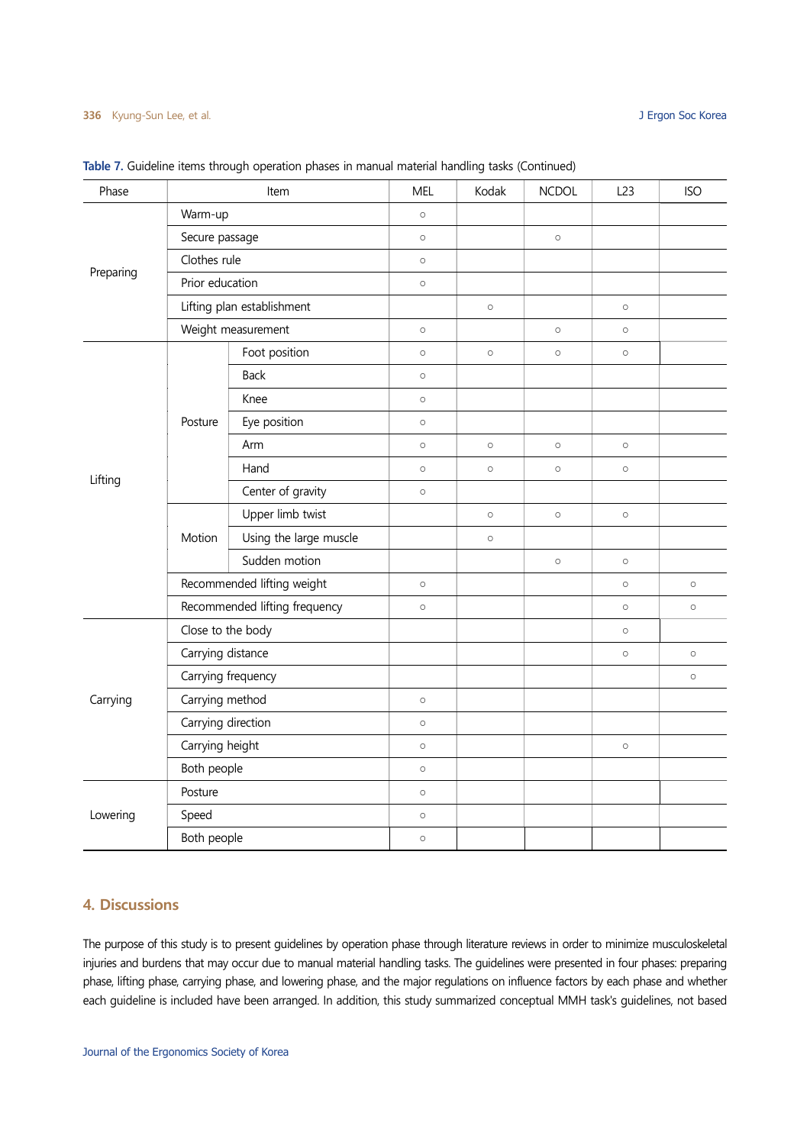| Phase     |                    | Item                          | <b>MEL</b> | Kodak   | <b>NCDOL</b> | L23     | <b>ISO</b> |
|-----------|--------------------|-------------------------------|------------|---------|--------------|---------|------------|
|           | Warm-up            |                               | $\circ$    |         |              |         |            |
|           | Secure passage     |                               | $\circ$    |         | $\circ$      |         |            |
|           | Clothes rule       |                               | $\circ$    |         |              |         |            |
| Preparing | Prior education    |                               | $\circ$    |         |              |         |            |
|           |                    | Lifting plan establishment    |            | $\circ$ |              | $\circ$ |            |
|           |                    | Weight measurement            | $\circ$    |         | $\circ$      | $\circ$ |            |
|           |                    | Foot position                 | $\circ$    | $\circ$ | $\circ$      | $\circ$ |            |
|           |                    | Back                          | $\circ$    |         |              |         |            |
|           |                    | Knee                          | $\circ$    |         |              |         |            |
|           | Posture            | Eye position                  | $\circ$    |         |              |         |            |
|           |                    | Arm                           | $\circ$    | $\circ$ | $\circ$      | $\circ$ |            |
| Lifting   |                    | Hand                          | $\circ$    | $\circ$ | $\circ$      | $\circ$ |            |
|           |                    | Center of gravity             | $\circ$    |         |              |         |            |
|           |                    | Upper limb twist              |            | $\circ$ | $\circ$      | $\circ$ |            |
|           | Motion             | Using the large muscle        |            | $\circ$ |              |         |            |
|           |                    | Sudden motion                 |            |         | $\circ$      | $\circ$ |            |
|           |                    | Recommended lifting weight    | $\circ$    |         |              | $\circ$ | $\circ$    |
|           |                    | Recommended lifting frequency | $\circ$    |         |              | $\circ$ | $\circ$    |
|           | Close to the body  |                               |            |         |              | $\circ$ |            |
|           | Carrying distance  |                               |            |         |              | $\circ$ | $\circ$    |
|           | Carrying frequency |                               |            |         |              |         | $\circ$    |
| Carrying  | Carrying method    |                               | $\circ$    |         |              |         |            |
|           | Carrying direction |                               | $\circ$    |         |              |         |            |
|           | Carrying height    |                               | $\circ$    |         |              | $\circ$ |            |
|           | Both people        |                               | $\circ$    |         |              |         |            |
|           | Posture            |                               | $\circ$    |         |              |         |            |
| Lowering  | Speed              |                               | $\circ$    |         |              |         |            |
|           | Both people        |                               | $\circ$    |         |              |         |            |

Table 7. Guideline items through operation phases in manual material handling tasks (Continued)

# 4. Discussions

The purpose of this study is to present guidelines by operation phase through literature reviews in order to minimize musculoskeletal injuries and burdens that may occur due to manual material handling tasks. The guidelines were presented in four phases: preparing phase, lifting phase, carrying phase, and lowering phase, and the major regulations on influence factors by each phase and whether each guideline is included have been arranged. In addition, this study summarized conceptual MMH task's guidelines, not based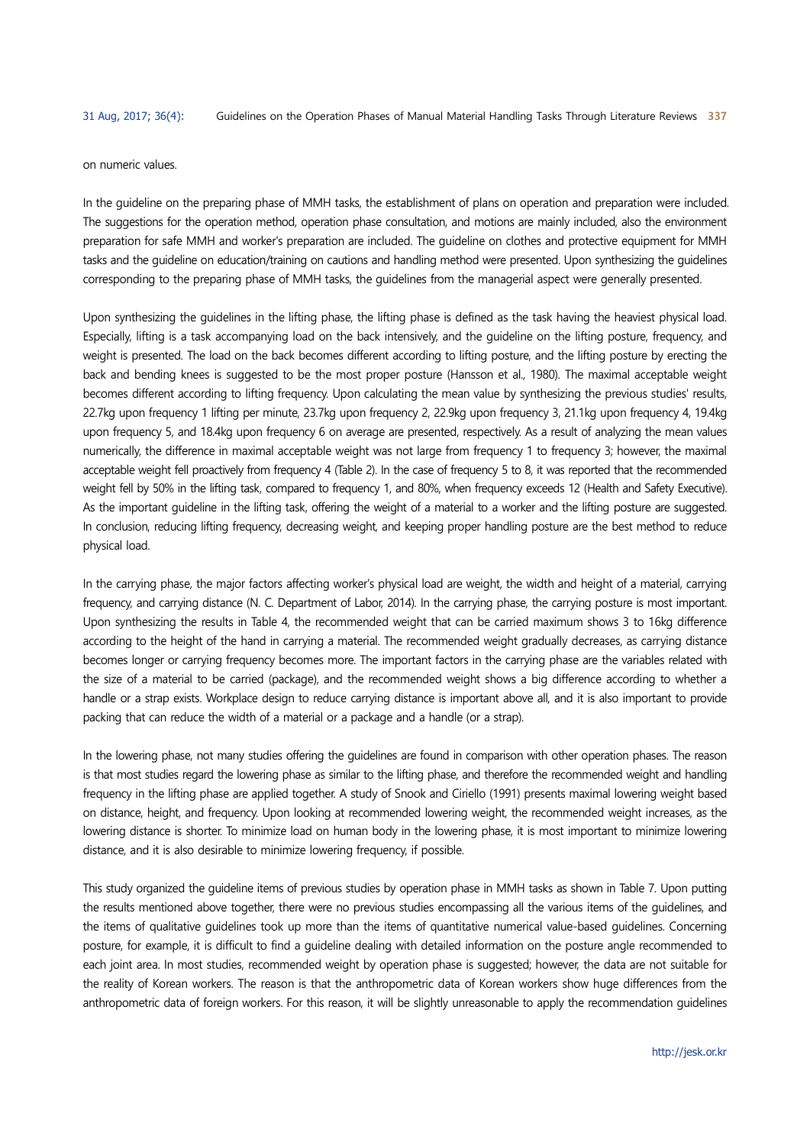#### on numeric values.

In the guideline on the preparing phase of MMH tasks, the establishment of plans on operation and preparation were included. The suggestions for the operation method, operation phase consultation, and motions are mainly included, also the environment preparation for safe MMH and worker's preparation are included. The guideline on clothes and protective equipment for MMH tasks and the guideline on education/training on cautions and handling method were presented. Upon synthesizing the guidelines corresponding to the preparing phase of MMH tasks, the guidelines from the managerial aspect were generally presented.

Upon synthesizing the guidelines in the lifting phase, the lifting phase is defined as the task having the heaviest physical load. Especially, lifting is a task accompanying load on the back intensively, and the guideline on the lifting posture, frequency, and weight is presented. The load on the back becomes different according to lifting posture, and the lifting posture by erecting the back and bending knees is suggested to be the most proper posture (Hansson et al., 1980). The maximal acceptable weight becomes different according to lifting frequency. Upon calculating the mean value by synthesizing the previous studies' results, 22.7kg upon frequency 1 lifting per minute, 23.7kg upon frequency 2, 22.9kg upon frequency 3, 21.1kg upon frequency 4, 19.4kg upon frequency 5, and 18.4kg upon frequency 6 on average are presented, respectively. As a result of analyzing the mean values numerically, the difference in maximal acceptable weight was not large from frequency 1 to frequency 3; however, the maximal acceptable weight fell proactively from frequency 4 (Table 2). In the case of frequency 5 to 8, it was reported that the recommended weight fell by 50% in the lifting task, compared to frequency 1, and 80%, when frequency exceeds 12 (Health and Safety Executive). As the important guideline in the lifting task, offering the weight of a material to a worker and the lifting posture are suggested. In conclusion, reducing lifting frequency, decreasing weight, and keeping proper handling posture are the best method to reduce physical load.

In the carrying phase, the major factors affecting worker's physical load are weight, the width and height of a material, carrying frequency, and carrying distance (N. C. Department of Labor, 2014). In the carrying phase, the carrying posture is most important. Upon synthesizing the results in Table 4, the recommended weight that can be carried maximum shows 3 to 16kg difference according to the height of the hand in carrying a material. The recommended weight gradually decreases, as carrying distance becomes longer or carrying frequency becomes more. The important factors in the carrying phase are the variables related with the size of a material to be carried (package), and the recommended weight shows a big difference according to whether a handle or a strap exists. Workplace design to reduce carrying distance is important above all, and it is also important to provide packing that can reduce the width of a material or a package and a handle (or a strap).

In the lowering phase, not many studies offering the guidelines are found in comparison with other operation phases. The reason is that most studies regard the lowering phase as similar to the lifting phase, and therefore the recommended weight and handling frequency in the lifting phase are applied together. A study of Snook and Ciriello (1991) presents maximal lowering weight based on distance, height, and frequency. Upon looking at recommended lowering weight, the recommended weight increases, as the lowering distance is shorter. To minimize load on human body in the lowering phase, it is most important to minimize lowering distance, and it is also desirable to minimize lowering frequency, if possible.

This study organized the guideline items of previous studies by operation phase in MMH tasks as shown in Table 7. Upon putting the results mentioned above together, there were no previous studies encompassing all the various items of the guidelines, and the items of qualitative guidelines took up more than the items of quantitative numerical value-based guidelines. Concerning posture, for example, it is difficult to find a guideline dealing with detailed information on the posture angle recommended to each joint area. In most studies, recommended weight by operation phase is suggested; however, the data are not suitable for the reality of Korean workers. The reason is that the anthropometric data of Korean workers show huge differences from the anthropometric data of foreign workers. For this reason, it will be slightly unreasonable to apply the recommendation guidelines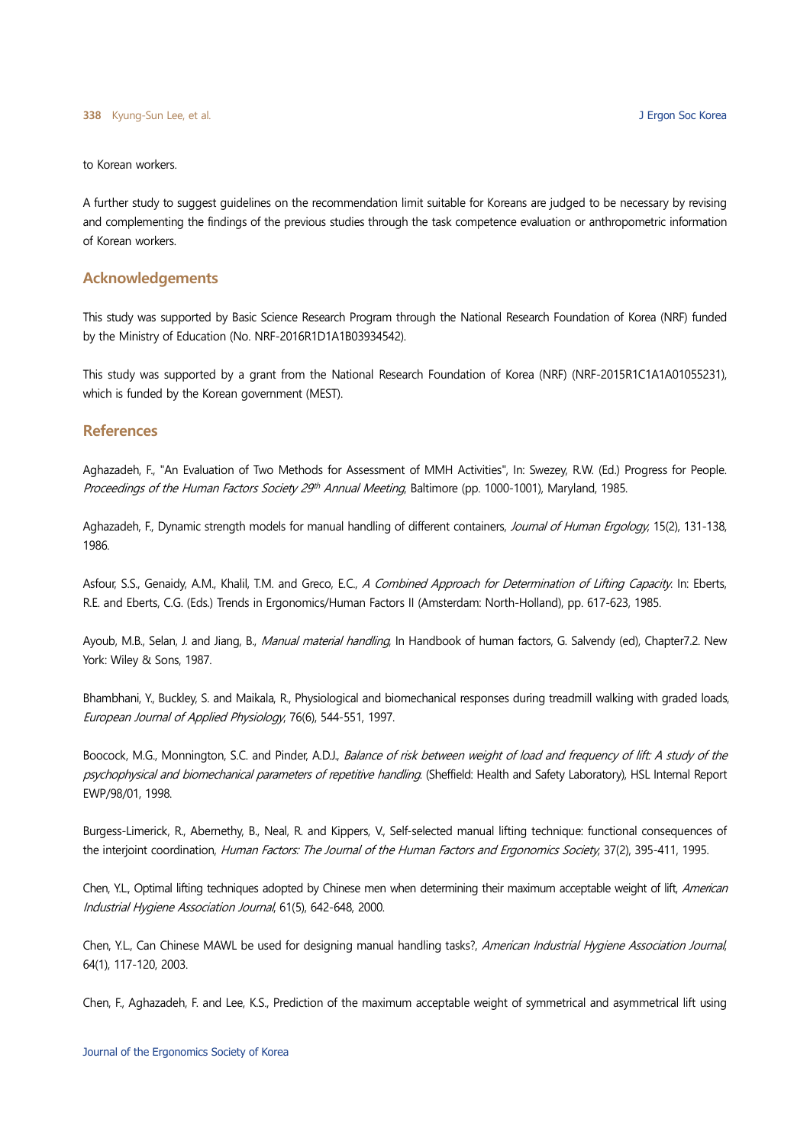to Korean workers.

A further study to suggest guidelines on the recommendation limit suitable for Koreans are judged to be necessary by revising and complementing the findings of the previous studies through the task competence evaluation or anthropometric information of Korean workers.

# Acknowledgements

This study was supported by Basic Science Research Program through the National Research Foundation of Korea (NRF) funded by the Ministry of Education (No. NRF-2016R1D1A1B03934542).

This study was supported by a grant from the National Research Foundation of Korea (NRF) (NRF-2015R1C1A1A01055231), which is funded by the Korean government (MEST).

# **References**

Aghazadeh, F., "An Evaluation of Two Methods for Assessment of MMH Activities", In: Swezey, R.W. (Ed.) Progress for People. Proceedings of the Human Factors Society 29<sup>th</sup> Annual Meeting, Baltimore (pp. 1000-1001), Maryland, 1985.

Aghazadeh, F., Dynamic strength models for manual handling of different containers, Journal of Human Ergology, 15(2), 131-138, 1986.

Asfour, S.S., Genaidy, A.M., Khalil, T.M. and Greco, E.C., A Combined Approach for Determination of Lifting Capacity. In: Eberts, R.E. and Eberts, C.G. (Eds.) Trends in Ergonomics/Human Factors II (Amsterdam: North-Holland), pp. 617-623, 1985.

Ayoub, M.B., Selan, J. and Jiang, B., Manual material handling, In Handbook of human factors, G. Salvendy (ed), Chapter7.2. New York: Wiley & Sons, 1987.

Bhambhani, Y., Buckley, S. and Maikala, R., Physiological and biomechanical responses during treadmill walking with graded loads, European Journal of Applied Physiology, 76(6), 544-551, 1997.

Boocock, M.G., Monnington, S.C. and Pinder, A.D.J., Balance of risk between weight of load and frequency of lift: A study of the psychophysical and biomechanical parameters of repetitive handling. (Sheffield: Health and Safety Laboratory), HSL Internal Report EWP/98/01, 1998.

Burgess-Limerick, R., Abernethy, B., Neal, R. and Kippers, V., Self-selected manual lifting technique: functional consequences of the interjoint coordination, Human Factors: The Journal of the Human Factors and Ergonomics Society, 37(2), 395-411, 1995.

Chen, Y.L., Optimal lifting techniques adopted by Chinese men when determining their maximum acceptable weight of lift, American Industrial Hygiene Association Journal, 61(5), 642-648, 2000.

Chen, Y.L., Can Chinese MAWL be used for designing manual handling tasks?, American Industrial Hygiene Association Journal,<br>64(1), 117-120, 2003.

Chen, F., Aghazadeh, F. and Lee, K.S., Prediction of the maximum acceptable weight of symmetrical and asymmetrical lift using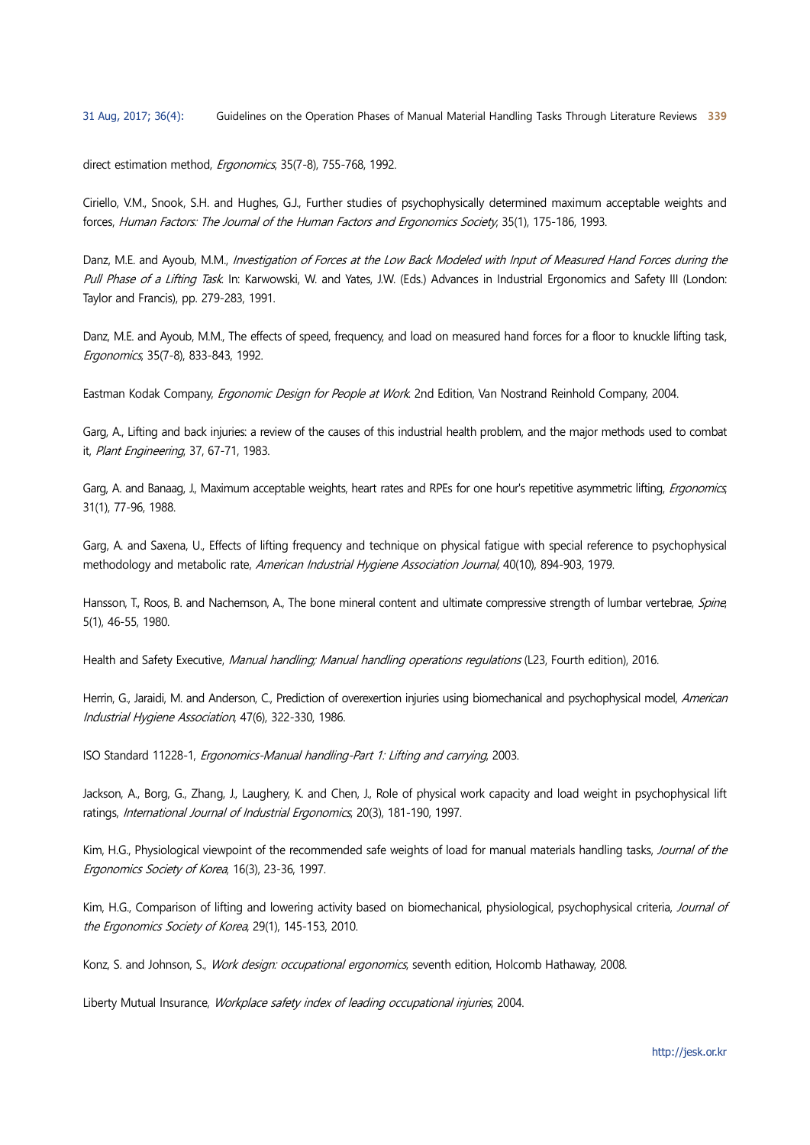direct estimation method, Ergonomics, 35(7-8), 755-768, 1992.

Ciriello, V.M., Snook, S.H. and Hughes, G.J., Further studies of psychophysically determined maximum acceptable weights and forces, Human Factors: The Journal of the Human Factors and Ergonomics Society, 35(1), 175-186, 1993.

Danz, M.E. and Ayoub, M.M., Investigation of Forces at the Low Back Modeled with Input of Measured Hand Forces during the Pull Phase of a Lifting Task. In: Karwowski, W. and Yates, J.W. (Eds.) Advances in Industrial Ergonomics and Safety III (London: Taylor and Francis), pp. 279-283, 1991.

Danz, M.E. and Ayoub, M.M., The effects of speed, frequency, and load on measured hand forces for a floor to knuckle lifting task, Ergonomics, 35(7-8), 833-843, 1992.

Eastman Kodak Company, Ergonomic Design for People at Work. 2nd Edition, Van Nostrand Reinhold Company, 2004.

Garg, A., Lifting and back injuries: a review of the causes of this industrial health problem, and the major methods used to combat it, Plant Engineering, 37, 67-71, 1983.

Garg, A. and Banaag, J., Maximum acceptable weights, heart rates and RPEs for one hour's repetitive asymmetric lifting, *Ergonomics*, 31(1), 77-96, 1988.

Garg, A. and Saxena, U., Effects of lifting frequency and technique on physical fatigue with special reference to psychophysical methodology and metabolic rate, American Industrial Hygiene Association Journal, 40(10), 894-903, 1979.

Hansson, T., Roos, B. and Nachemson, A., The bone mineral content and ultimate compressive strength of lumbar vertebrae, *Spine*,<br>5(1), 46-55, 1980.

Health and Safety Executive, Manual handling; Manual handling operations regulations (L23, Fourth edition), 2016.

Herrin, G., Jaraidi, M. and Anderson, C., Prediction of overexertion injuries using biomechanical and psychophysical model, American Industrial Hygiene Association, 47(6), 322-330, 1986.

ISO Standard 11228-1, Ergonomics-Manual handling-Part 1: Lifting and carrying, 2003.

Jackson, A., Borg, G., Zhang, J., Laughery, K. and Chen, J., Role of physical work capacity and load weight in psychophysical lift ratings, International Journal of Industrial Ergonomics, 20(3), 181-190, 1997.

Kim, H.G., Physiological viewpoint of the recommended safe weights of load for manual materials handling tasks, Journal of the Ergonomics Society of Korea, 16(3), 23-36, 1997.

Kim, H.G., Comparison of lifting and lowering activity based on biomechanical, physiological, psychophysical criteria, Journal of the Ergonomics Society of Korea, 29(1), 145-153, 2010.

Konz, S. and Johnson, S., Work design: occupational ergonomics, seventh edition, Holcomb Hathaway, 2008.

Liberty Mutual Insurance, Workplace safety index of leading occupational injuries, 2004.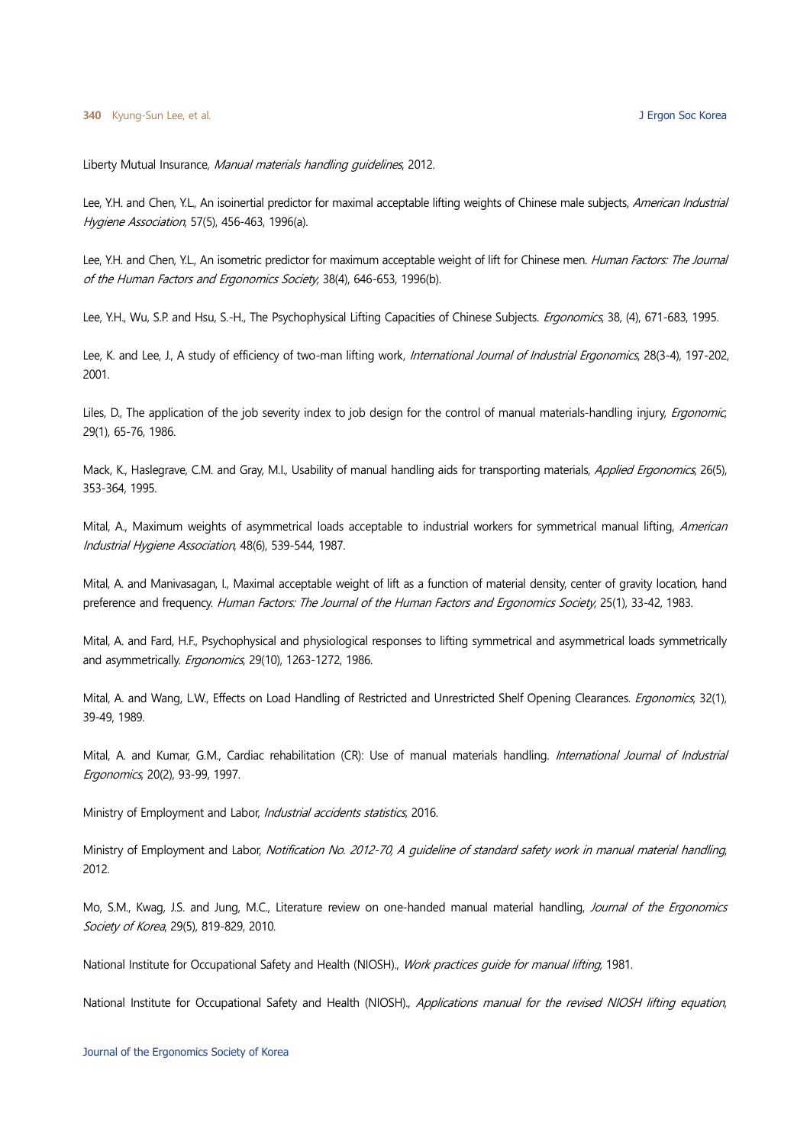Liberty Mutual Insurance, Manual materials handling guidelines, 2012.

Lee, Y.H. and Chen, Y.L., An isoinertial predictor for maximal acceptable lifting weights of Chinese male subjects. American Industrial Hygiene Association, 57(5), 456-463, 1996(a).

Lee, Y.H. and Chen, Y.L., An isometric predictor for maximum acceptable weight of lift for Chinese men. Human Factors: The Journal of the Human Factors and Ergonomics Society, 38(4), 646-653, 1996(b).

Lee, Y.H., Wu, S.P. and Hsu, S.-H., The Psychophysical Lifting Capacities of Chinese Subjects. Ergonomics, 38, (4), 671-683, 1995.

Lee, K. and Lee, J., A study of efficiency of two-man lifting work, International Journal of Industrial Ergonomics, 28(3-4), 197-202, 2001.

Liles, D., The application of the job severity index to job design for the control of manual materials-handling injury, *Ergonomic*, 29(1), 65-76, 1986.

Mack, K., Haslegrave, C.M. and Gray, M.I., Usability of manual handling aids for transporting materials, Applied Ergonomics, 26(5), 353-364, 1995.

Mital, A., Maximum weights of asymmetrical loads acceptable to industrial workers for symmetrical manual lifting, American Industrial Hygiene Association, 48(6), 539-544, 1987.

Mital, A. and Manivasagan, I., Maximal acceptable weight of lift as a function of material density, center of gravity location, hand preference and frequency. Human Factors: The Journal of the Human Factors and Ergonomics Society, 25(1), 33-42, 1983.

Mital, A. and Fard, H.F., Psychophysical and physiological responses to lifting symmetrical and asymmetrical loads symmetrically and asymmetrically. Ergonomics, 29(10), 1263-1272, 1986.

Mital, A. and Wang, L.W., Effects on Load Handling of Restricted and Unrestricted Shelf Opening Clearances. *Ergonomics*, 32(1), 39-49, 1989.

Mital, A. and Kumar, G.M., Cardiac rehabilitation (CR): Use of manual materials handling. International Journal of Industrial Ergonomics, 20(2), 93-99, 1997.

Ministry of Employment and Labor, *Industrial accidents statistics*, 2016.

Ministry of Employment and Labor, Notification No. 2012-70, A guideline of standard safety work in manual material handling,<br>2012.

Mo, S.M., Kwag, J.S. and Jung, M.C., Literature review on one-handed manual material handling, Journal of the Ergonomics Society of Korea, 29(5), 819-829, 2010.

National Institute for Occupational Safety and Health (NIOSH)., Work practices quide for manual lifting, 1981.

National Institute for Occupational Safety and Health (NIOSH)., Applications manual for the revised NIOSH lifting equation,